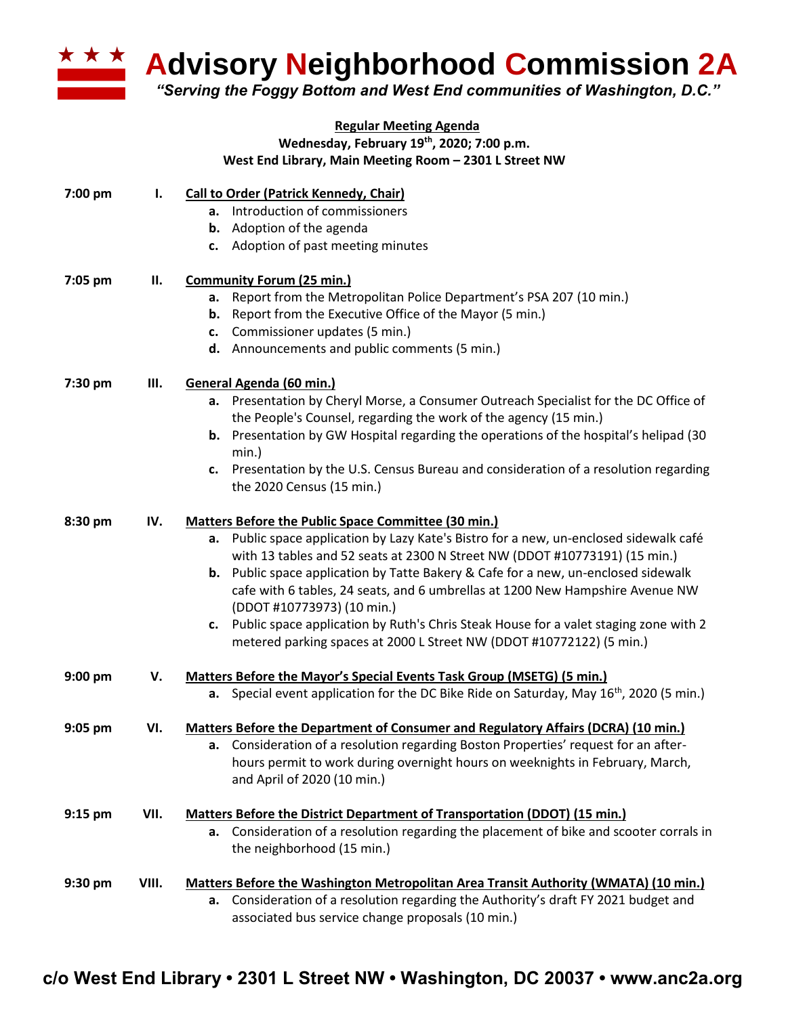

**Advisory Neighborhood Commission 2A**

*"Serving the Foggy Bottom and West End communities of Washington, D.C."*

| <b>Regular Meeting Agenda</b><br>Wednesday, February 19th, 2020; 7:00 p.m.<br>West End Library, Main Meeting Room - 2301 L Street NW |      |                                                                                                                                                                                                                                                                                                                                                                                                                                                                                                                                                                                                     |  |  |  |
|--------------------------------------------------------------------------------------------------------------------------------------|------|-----------------------------------------------------------------------------------------------------------------------------------------------------------------------------------------------------------------------------------------------------------------------------------------------------------------------------------------------------------------------------------------------------------------------------------------------------------------------------------------------------------------------------------------------------------------------------------------------------|--|--|--|
| 7:00 pm                                                                                                                              | I.   | <b>Call to Order (Patrick Kennedy, Chair)</b><br>a. Introduction of commissioners<br><b>b.</b> Adoption of the agenda<br>c. Adoption of past meeting minutes                                                                                                                                                                                                                                                                                                                                                                                                                                        |  |  |  |
| 7:05 pm                                                                                                                              | П.   | <b>Community Forum (25 min.)</b><br>a. Report from the Metropolitan Police Department's PSA 207 (10 min.)<br><b>b.</b> Report from the Executive Office of the Mayor (5 min.)<br>c. Commissioner updates (5 min.)<br>d. Announcements and public comments (5 min.)                                                                                                                                                                                                                                                                                                                                  |  |  |  |
| 7:30 pm                                                                                                                              | III. | General Agenda (60 min.)<br>a. Presentation by Cheryl Morse, a Consumer Outreach Specialist for the DC Office of<br>the People's Counsel, regarding the work of the agency (15 min.)<br><b>b.</b> Presentation by GW Hospital regarding the operations of the hospital's helipad (30<br>$min.$ )<br>c. Presentation by the U.S. Census Bureau and consideration of a resolution regarding<br>the 2020 Census (15 min.)                                                                                                                                                                              |  |  |  |
| 8:30 pm                                                                                                                              | IV.  | Matters Before the Public Space Committee (30 min.)<br>a. Public space application by Lazy Kate's Bistro for a new, un-enclosed sidewalk café<br>with 13 tables and 52 seats at 2300 N Street NW (DDOT #10773191) (15 min.)<br>b. Public space application by Tatte Bakery & Cafe for a new, un-enclosed sidewalk<br>cafe with 6 tables, 24 seats, and 6 umbrellas at 1200 New Hampshire Avenue NW<br>(DDOT #10773973) (10 min.)<br>c. Public space application by Ruth's Chris Steak House for a valet staging zone with 2<br>metered parking spaces at 2000 L Street NW (DDOT #10772122) (5 min.) |  |  |  |
| $9:00$ pm                                                                                                                            | v.   | Matters Before the Mayor's Special Events Task Group (MSETG) (5 min.)<br>a. Special event application for the DC Bike Ride on Saturday, May 16 <sup>th</sup> , 2020 (5 min.)                                                                                                                                                                                                                                                                                                                                                                                                                        |  |  |  |
| 9:05 pm                                                                                                                              | VI.  | Matters Before the Department of Consumer and Regulatory Affairs (DCRA) (10 min.)<br>Consideration of a resolution regarding Boston Properties' request for an after-<br>а.<br>hours permit to work during overnight hours on weeknights in February, March,<br>and April of 2020 (10 min.)                                                                                                                                                                                                                                                                                                         |  |  |  |
| $9:15$ pm                                                                                                                            | VII. | Matters Before the District Department of Transportation (DDOT) (15 min.)<br>Consideration of a resolution regarding the placement of bike and scooter corrals in<br>а.<br>the neighborhood (15 min.)                                                                                                                                                                                                                                                                                                                                                                                               |  |  |  |

| $9:30 \text{ pm}$ | VIII. | Matters Before the Washington Metropolitan Area Transit Authority (WMATA) (10 min.) |                                                                                     |  |
|-------------------|-------|-------------------------------------------------------------------------------------|-------------------------------------------------------------------------------------|--|
|                   |       |                                                                                     | a. Consideration of a resolution regarding the Authority's draft FY 2021 budget and |  |
|                   |       |                                                                                     | associated bus service change proposals (10 min.)                                   |  |